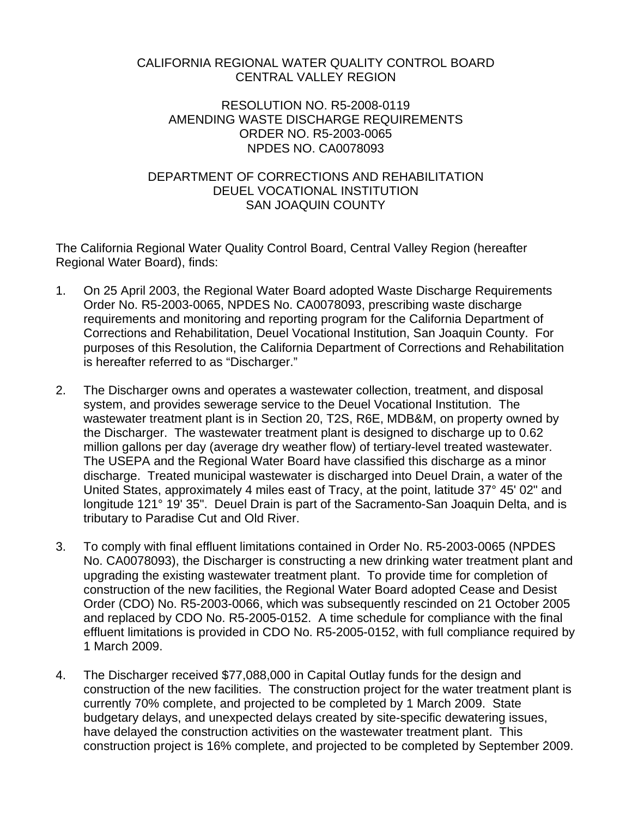## CALIFORNIA REGIONAL WATER QUALITY CONTROL BOARD CENTRAL VALLEY REGION

## RESOLUTION NO. R5-2008-0119 AMENDING WASTE DISCHARGE REQUIREMENTS ORDER NO. R5-2003-0065 NPDES NO. CA0078093

## DEPARTMENT OF CORRECTIONS AND REHABILITATION DEUEL VOCATIONAL INSTITUTION SAN JOAQUIN COUNTY

The California Regional Water Quality Control Board, Central Valley Region (hereafter Regional Water Board), finds:

- 1. On 25 April 2003, the Regional Water Board adopted Waste Discharge Requirements Order No. R5-2003-0065, NPDES No. CA0078093, prescribing waste discharge requirements and monitoring and reporting program for the California Department of Corrections and Rehabilitation, Deuel Vocational Institution, San Joaquin County. For purposes of this Resolution, the California Department of Corrections and Rehabilitation is hereafter referred to as "Discharger."
- 2. The Discharger owns and operates a wastewater collection, treatment, and disposal system, and provides sewerage service to the Deuel Vocational Institution. The wastewater treatment plant is in Section 20, T2S, R6E, MDB&M, on property owned by the Discharger. The wastewater treatment plant is designed to discharge up to 0.62 million gallons per day (average dry weather flow) of tertiary-level treated wastewater. The USEPA and the Regional Water Board have classified this discharge as a minor discharge. Treated municipal wastewater is discharged into Deuel Drain, a water of the United States, approximately 4 miles east of Tracy, at the point, latitude 37° 45' 02" and longitude 121° 19' 35". Deuel Drain is part of the Sacramento-San Joaquin Delta, and is tributary to Paradise Cut and Old River.
- 3. To comply with final effluent limitations contained in Order No. R5-2003-0065 (NPDES No. CA0078093), the Discharger is constructing a new drinking water treatment plant and upgrading the existing wastewater treatment plant. To provide time for completion of construction of the new facilities, the Regional Water Board adopted Cease and Desist Order (CDO) No. R5-2003-0066, which was subsequently rescinded on 21 October 2005 and replaced by CDO No. R5-2005-0152. A time schedule for compliance with the final effluent limitations is provided in CDO No. R5-2005-0152, with full compliance required by 1 March 2009.
- 4. The Discharger received \$77,088,000 in Capital Outlay funds for the design and construction of the new facilities. The construction project for the water treatment plant is currently 70% complete, and projected to be completed by 1 March 2009. State budgetary delays, and unexpected delays created by site-specific dewatering issues, have delayed the construction activities on the wastewater treatment plant. This construction project is 16% complete, and projected to be completed by September 2009.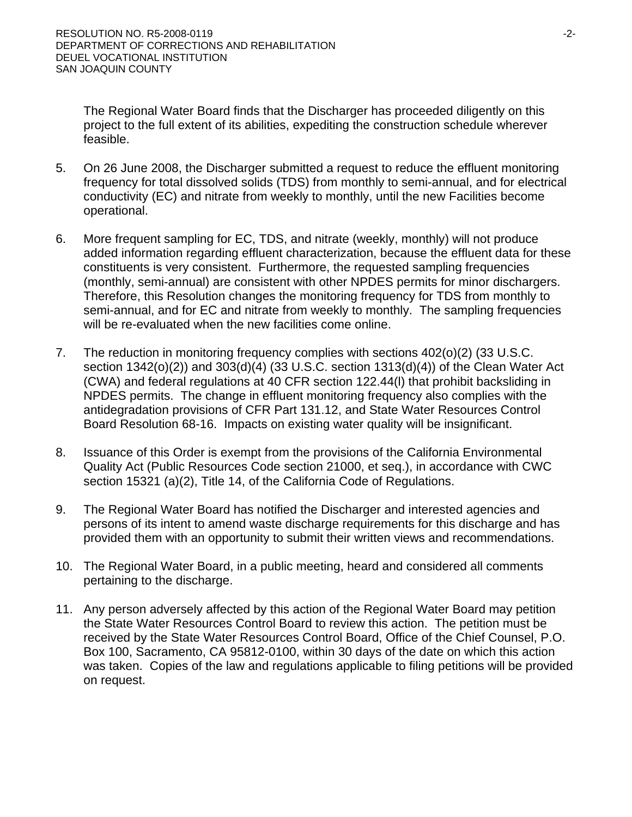The Regional Water Board finds that the Discharger has proceeded diligently on this project to the full extent of its abilities, expediting the construction schedule wherever feasible.

- 5. On 26 June 2008, the Discharger submitted a request to reduce the effluent monitoring frequency for total dissolved solids (TDS) from monthly to semi-annual, and for electrical conductivity (EC) and nitrate from weekly to monthly, until the new Facilities become operational.
- 6. More frequent sampling for EC, TDS, and nitrate (weekly, monthly) will not produce added information regarding effluent characterization, because the effluent data for these constituents is very consistent. Furthermore, the requested sampling frequencies (monthly, semi-annual) are consistent with other NPDES permits for minor dischargers. Therefore, this Resolution changes the monitoring frequency for TDS from monthly to semi-annual, and for EC and nitrate from weekly to monthly. The sampling frequencies will be re-evaluated when the new facilities come online.
- 7. The reduction in monitoring frequency complies with sections 402(o)(2) (33 U.S.C. section 1342(o)(2)) and 303(d)(4) (33 U.S.C. section 1313(d)(4)) of the Clean Water Act (CWA) and federal regulations at 40 CFR section 122.44(l) that prohibit backsliding in NPDES permits. The change in effluent monitoring frequency also complies with the antidegradation provisions of CFR Part 131.12, and State Water Resources Control Board Resolution 68-16. Impacts on existing water quality will be insignificant.
- 8. Issuance of this Order is exempt from the provisions of the California Environmental Quality Act (Public Resources Code section 21000, et seq.), in accordance with CWC section 15321 (a)(2), Title 14, of the California Code of Regulations.
- 9. The Regional Water Board has notified the Discharger and interested agencies and persons of its intent to amend waste discharge requirements for this discharge and has provided them with an opportunity to submit their written views and recommendations.
- 10. The Regional Water Board, in a public meeting, heard and considered all comments pertaining to the discharge.
- 11. Any person adversely affected by this action of the Regional Water Board may petition the State Water Resources Control Board to review this action. The petition must be received by the State Water Resources Control Board, Office of the Chief Counsel, P.O. Box 100, Sacramento, CA 95812-0100, within 30 days of the date on which this action was taken. Copies of the law and regulations applicable to filing petitions will be provided on request.